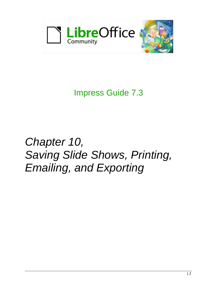

Impress Guide 7.3

# *Chapter 10, Saving Slide Shows, Printing, Emailing, and Exporting*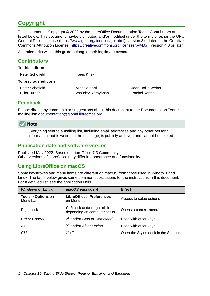# <span id="page-1-4"></span>**Copyright**

This document is Copyright © 2022 by the LibreOffice Documentation Team. Contributors are listed below. This document maybe distributed and/or modified under the terms of either the GNU General Public License (<https://www.gnu.org/licenses/gpl.html>), version 3 or later, or the Creative Commons Attribution License (<https://creativecommons.org/licenses/by/4.0/>), version 4.0 or later.

All trademarks within this guide belong to their legitimate owners.

#### <span id="page-1-3"></span>**Contributors**

| To this edition      |                   |                   |
|----------------------|-------------------|-------------------|
| Peter Schofield      | Kees Kriek        |                   |
| To previous editions |                   |                   |
| Peter Schofield      | Michele Zarri     | Jean Hollis Weber |
| Elliot Turner        | Vasudev Narayanan | Rachel Kartch     |
|                      |                   |                   |

#### <span id="page-1-2"></span>**Feedback**

Please direct any comments or suggestions about this document to the Documentation Team's mailing list: [documentation@global.libreoffice.org](mailto:documentation@global.libreoffice.org)



Everything sent to a mailing list, including email addresses and any other personal information that is written in the message, is publicly archived and cannot be deleted.

#### <span id="page-1-1"></span>**Publication date and software version**

Published May 2022. Based on LibreOffice 7.3 Community. Other versions of LibreOffice may differ in appearance and functionality.

## <span id="page-1-0"></span>**Using LibreOffice on macOS**

Some keystrokes and menu items are different on macOS from those used in Windows and Linux. The table below gives some common substitutions for the instructions in this document. For a detailed list, see the application Help.

| <b>Windows or Linux</b>                  | macOS equivalent                                             | <b>Effect</b>                       |
|------------------------------------------|--------------------------------------------------------------|-------------------------------------|
| <b>Tools &gt; Options on</b><br>Menu bar | LibreOffice > Preferences<br>on Menu bar                     | Access to setup options             |
| Right-click                              | Ctrl+click and/or right-click<br>depending on computer setup | Opens a context menu                |
| Ctrl or Control                          | <b><math>\frac{1}{2}</math></b> and/or Cmd or Command        | Used with other keys                |
| Alt                                      | <b>∠</b> and/or <i>Alt</i> or <i>Option</i>                  | Used with other keys                |
| F <sub>11</sub>                          | $\mathcal{H}+T$                                              | Open the Styles deck in the Sidebar |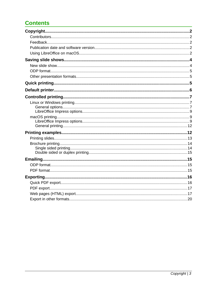# **Contents**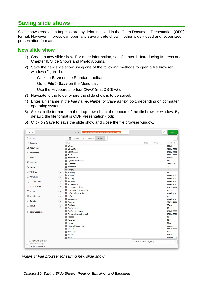# <span id="page-3-1"></span>**Saving slide shows**

Slide shows created in Impress are, by default, saved in the Open Document Presentation (ODP) format. However, Impress can open and save a slide show in other widely used and recognized presentation formats.

#### <span id="page-3-0"></span>**New slide show**

- 1) Create a new slide show. For more information, see Chapter 1, Introducing Impress and Chapter 9, Slide Shows and Photo Albums.
- 2) Save the new slide show using one of the following methods to open a file browser window (Figure [1\)](#page-3-2).
	- Click on **Save** on the Standard toolbar.
	- Go to **File > Save** on the Menu bar.
	- Use the keyboard shortcut *Ctrl+S* (macOS ⌘*+S*).
- 3) Navigate to the folder where the slide show is to be saved.
- 4) Enter a filename in the *File name*, *Name*, or *Save as* text box, depending on computer operating system.
- 5) Select a file format from the drop-down list at the bottom of the file browser window. By default, the file format is ODF Presentation (.odp).

| Cancel                         | libreoffice-presentation-template-community<br>Name                | $\hbox{\tt Q}$<br>Save     |
|--------------------------------|--------------------------------------------------------------------|----------------------------|
| ∩ Home                         | $_{\odot}$<br>Library<br>media<br>psf<br>Home<br>$\,$<br>$\langle$ | C.                         |
| Desktop                        | Name<br>$\wedge$ Size<br>Type                                      | Modified                   |
| Documents                      | <b>WebKit</b>                                                      | 19 Feb                     |
|                                | VirtualBox<br>UIKitSystem                                          | 29 Nov 2020<br>12 Nov 2020 |
| <b><i><u>Downloads</u></i></b> | <b>Trial</b>                                                       | 14 Nov 2020                |
| <b>J</b> Music                 | <b>Translation</b>                                                 | 16 Dec 2020                |
|                                | SyncedPreferences                                                  | 11:07                      |
| Pictures                       | Suggestions                                                        | Yesterday                  |
| <b>FI</b> Videos               | studentd                                                           | Fri                        |
| WD Silver                      | Staging                                                            | Fri                        |
|                                | $\triangleq$<br>Spelling                                           | 12:21                      |
| WD Black                       | Sounds<br>$\triangleq$<br>Sharing                                  | 12 Feb 2020<br>12 Feb 2020 |
| Toshiba Silver                 | Services<br>$\triangle$                                            | 12 Feb 2020                |
|                                | Screen Savers                                                      | 12 Feb 2020                |
| Toshiba Black                  | $\triangleq$<br>ScreenRecordings                                   | 12 Mar 2020                |
| $\Box$ Home                    | Saved Application State<br>$\triangleq$                            | 10:25                      |
|                                | SafariSafeBrowsing                                                 | 12 Feb 2020                |
| GoogleDrive                    | Safari<br>$\triangleq$                                             | 12:17                      |
| <b>Buffalo</b>                 | Reminders<br>$\triangleq$                                          | 12 Feb 2020                |
|                                | Receipts                                                           | 25 Mar 2020                |
| $\Box$ iCloud                  | <b>Printers</b><br>$\triangle$<br><b>Preferences</b>               | 27 Apr<br>12:29            |
|                                | <b>PreferencePanes</b>                                             | 12 Feb 2020                |
| + Other Locations              | PersonalizationPortrait                                            | 17 Nov 2020                |
|                                | <b>Passes</b>                                                      | 10:04                      |
|                                | <b>Parallels</b>                                                   | 10:24                      |
|                                | News                                                               | 4 Sep                      |
|                                | Mobile Documents                                                   | Yesterday                  |
|                                | Metadata                                                           | 13 Feb 2020                |
|                                | Messages                                                           | 10:04                      |
|                                | Maps                                                               | 12 Feb 2020                |
| Encrypt with GPG key           | Mail                                                               | 13 Nov 2020                |
| Edit filter settings           | ODF Presentation (.odp)                                            | $\checkmark$               |
| Save with password             |                                                                    |                            |

6) Click on **Save** to save the slide show and close the file browser window.

<span id="page-3-2"></span>*Figure 1: File browser for saving new slide show*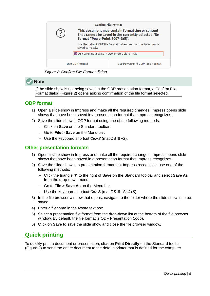

*Figure 2: Confirm File Format dialog*

# **Note**

<span id="page-4-3"></span>If the slide show is not being saved in the ODP presentation format, a Confirm File Format dialog (Figure [2](#page-4-3)) opens asking confirmation of the file format selected.

## <span id="page-4-2"></span>**ODP format**

- 1) Open a slide show in Impress and make all the required changes. Impress opens slide shows that have been saved in a presentation format that Impress recognizes.
- 2) Save the slide show in ODP format using one of the following methods:
	- Click on **Save** on the Standard toolbar.
	- Go to **File > Save** on the Menu bar.
	- Use the keyboard shortcut *Ctrl+S* (macOS ⌘*+S*).

#### <span id="page-4-1"></span>**Other presentation formats**

- 1) Open a slide show in Impress and make all the required changes. Impress opens slide shows that have been saved in a presentation format that Impress recognizes.
- 2) Save the slide show in a presentation format that Impress recognizes, use one of the following methods:
	- Click the triangle ▼ to the right of **Save** on the Standard toolbar and select **Save As** from the drop-down menu.
	- Go to **File > Save As** on the Menu bar.
	- Use the keyboard shortcut *Ctrl+S* (macOS ⌘*+Shift+S*).
- 3) In the file browser window that opens, navigate to the folder where the slide show is to be saved.
- 4) Enter a filename in the *Name* text box.
- 5) Select a presentation file format from the drop-down list at the bottom of the file browser window. By default, the file format is ODF Presentation (.odp).
- 6) Click on **Save** to save the slide show and close the file browser window.

# <span id="page-4-0"></span>**Quick printing**

To quickly print a document or presentation, click on **Print Directly** on the Standard toolbar (Figure [3](#page-5-1)) to send the entire document to the default printer that is defined for the computer.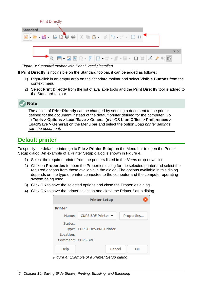

*Figure 3: Standard toolbar with Print Directly installed*

If **Print Directly** is not visible on the Standard toolbar, it can be added as follows:

- <span id="page-5-1"></span>1) Right-click in an empty area on the Standard toolbar and select **Visible Buttons** from the context menu.
- 2) Select **Print Directly** from the list of available tools and the **Print Directly** tool is added to the Standard toolbar.

# **Note**

The action of **Print Directly** can be changed by sending a document to the printer defined for the document instead of the default printer defined for the computer. Go to **Tools > Options > Load/Save > General** (macOS **LibreOffice > Preferences > Load/Save > General**) on the Menu bar and select the option *Load printer settings with the document*.

# <span id="page-5-0"></span>**Default printer**

To specify the default printer, go to **File > Printer Setup** on the Menu bar to open the Printer Setup dialog. An example of a Printer Setup dialog is shown in Figure [4.](#page-5-2)

- 1) Select the required printer from the printers listed in the *Name* drop-down list.
- 2) Click on **Properties** to open the Properties dialog for the selected printer and select the required options from those available in the dialog. The options available in this dialog depends on the type of printer connected to the computer and the computer operating system being used.
- 3) Click **OK** to save the selected options and close the Properties dialog.
- 4) Click **OK** to save the printer selection and close the Printer Setup dialog.

|                   | <b>Printer Setup</b>                                |
|-------------------|-----------------------------------------------------|
| <b>Printer</b>    |                                                     |
| Name:             | CUPS-BRF-Printer $\blacktriangledown$<br>Properties |
| Status:           |                                                     |
| Location:         | Type: CUPS:CUPS-BRF-Printer                         |
| Comment: CUPS-BRF |                                                     |
| Help              | Cancel<br>OK                                        |

<span id="page-5-2"></span>*Figure 4: Example of a Printer Setup dialog*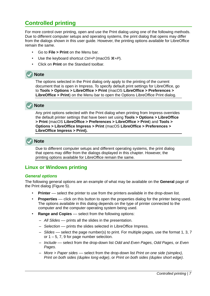# <span id="page-6-2"></span>**Controlled printing**

For more control over printing, open and use the Print dialog using one of the following methods. Due to different computer setups and operating systems, the print dialog that opens may differ from the dialogs shown in this user guide. However, the printing options available for LibreOffice remain the same.

- Go to **File > Print** on the Menu bar.
- Use the keyboard shortcut *Ctrl+P* (macOS ⌘*+P*).
- Click on **Print** on the Standard toolbar.

# **Note**

The options selected in the Print dialog only apply to the printing of the current document that is open in Impress. To specify default print settings for LibreOffice, go to **Tools > Options > LibreOffice > Print** (macOS **LibreOffice > Preferences > LibreOffice > Print**) on the Menu bar to open the Options LibreOffice Print dialog.

# **Note**

Any print options selected with the Print dialog when printing from Impress overrides the default printer settings that have been set using **Tools > Options > LibreOffice > Print** (macOS **LibreOffice > Preferences > LibreOffice > Print**) and **Tools > Options > LibreOffice Impress > Print** (macOS **LibreOffice > Preferences > LibreOffice Impress > Print).**

# **Note**

Due to different computer setups and different operating systems, the print dialog that opens may differ from the dialogs displayed in this chapter. However, the printing options available for LibreOffice remain the same.

## <span id="page-6-1"></span>**Linux or Windows printing**

#### <span id="page-6-0"></span>*General options*

The following general options are an example of what may be available on the **General** page of the Print dialog (Figure [5](#page-7-0)).

- **Printer** –– select the printer to use from the printers available in the drop-down list.
- **Properties** –– click on this button to open the properties dialog for the printer being used. The options available in this dialog depends on the type of printer connected to the computer and the computer operating system being used.
- **Range and Copies** –– select from the following options:
	- *All Slides* –– prints all the slides in the presentation.
	- *Selection* –– prints the slides selected in LibreOffice Impress.
	- *Slides* –– select the page number(s) to print. For multiple pages, use the format 1, 3, 7 or  $1 - 5$ , 7, 9 for page number selection.
	- *Include* –– select from the drop-down list *Odd and Even Pages*, *Odd Pages*, or *Even Pages*.
	- *More > Paper sides* –– select from the drop-down list *Print on one side (simplex), Print on both sides (duplex long edge)*, or *Print on both sides (duplex short edge)*.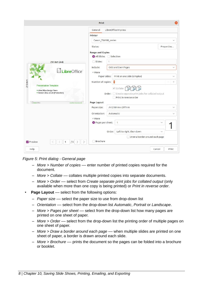|                                          | Print                                                       |
|------------------------------------------|-------------------------------------------------------------|
|                                          | General<br>LibreOffice Impress                              |
|                                          | <b>Printer</b>                                              |
|                                          | Canon TS6100 series<br>$\checkmark$                         |
|                                          | Status:<br>Properties                                       |
|                                          | <b>Range and Copies</b><br>All Slides Selection             |
| 297 mm (A4)                              | ○ Slides:                                                   |
|                                          | Include:<br>Odd and Even Pages<br>$\checkmark$              |
| LibreOffice <sup>®</sup>                 | $~\vee$ More                                                |
|                                          | Print on one side (simplex)<br>Paper sides:<br>$\checkmark$ |
| $210$ mm<br><b>Presentation Template</b> | Number of copies:<br>n<br>$\! + \!\!\!\!$                   |
| * LibreOffice Design Team                | $\Box$<br>$\vee$ Collate                                    |
| Version 2011-10-20 (Production)          | Order: Create separate print jobs for collated output       |
| LibreOffice                              | Print in reverse order<br>Page Layout                       |
| LibreOffice Productivity Sun             | A4 210mm x 297mm<br>Paper size:<br>$\checkmark$             |
|                                          | Orientation:<br>Automatic<br>$\checkmark$                   |
|                                          | $~\vee$ More                                                |
|                                          | Pages per sheet:<br>$\mathbf{1}$<br>$\checkmark$            |
|                                          |                                                             |
|                                          | Left to right, then down<br>Order:<br>$\checkmark$          |
|                                          | Draw a border around each page<br><b>Brochure</b>           |
| Preview<br>/5<br>1                       |                                                             |
| Help                                     | Print<br>Cancel                                             |

*Figure 5: Print dialog - General page*

- <span id="page-7-0"></span>– *More > Number of copies* –– enter number of printed copies required for the document.
- *More > Collate* –– collates multiple printed copies into separate documents.
- *More > Order* –– select from *Create separate print jobs for collated output* (only available when more than one copy is being printed) or *Print in reverse order*.
- **Page Layout** select from the following options:
	- *Paper size* –– select the paper size to use from drop-down list
	- *Orientation* –– select from the drop-down list *Automatic*, *Portrait* or *Landscape*.
	- *More > Pages per sheet* –– select from the drop-down list how many pages are printed on one sheet of paper.
	- *More > Order* –– select from the drop-down list the printing order of multiple pages on one sheet of paper.
	- *More > Draw a border around each page* –– when multiple slides are printed on one sheet of paper, a border is drawn around each slide.
	- *More > Brochure* –– prints the document so the pages can be folded into a brochure or booklet.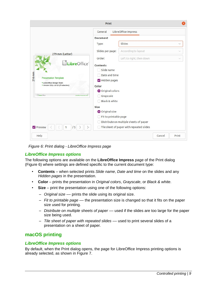|                                                                                                                                                                                    | Print                                                                                                     |                                                                                               |        |              |
|------------------------------------------------------------------------------------------------------------------------------------------------------------------------------------|-----------------------------------------------------------------------------------------------------------|-----------------------------------------------------------------------------------------------|--------|--------------|
|                                                                                                                                                                                    | General                                                                                                   | LibreOffice Impress                                                                           |        |              |
|                                                                                                                                                                                    | <b>Document</b>                                                                                           |                                                                                               |        |              |
|                                                                                                                                                                                    | Type:                                                                                                     | Slides                                                                                        |        | $\checkmark$ |
| 279 mm (Letter)                                                                                                                                                                    | Slides per page:                                                                                          | According to layout                                                                           |        | $\checkmark$ |
|                                                                                                                                                                                    | Order:                                                                                                    | Left to right, then down                                                                      |        | $\checkmark$ |
| LibreOffice <sup>®</sup><br>$216$ mm<br><b>Presentation Template</b><br>LibreOffice Design Team<br>Version 2011-10-20 (Production)<br>LibraOffice Productivity Subs<br>LibreOffice | <b>Contents</b><br>Slide name<br>Date and time<br>Hidden pages<br>Color<br>O Original colors<br>Grayscale |                                                                                               |        |              |
| Preview<br>/5<br>\.<br>1                                                                                                                                                           | Black & white<br><b>Size</b><br>O Original size<br>◯ Fit to printable page                                | Distribute on multiple sheets of paper<br>$\bigcirc$ Tile sheet of paper with repeated slides |        |              |
| Help                                                                                                                                                                               |                                                                                                           |                                                                                               | Cancel | Print        |

<span id="page-8-3"></span>*Figure 6: Print dialog - LibreOffice Impress page*

#### <span id="page-8-2"></span>*LibreOffice Impress options*

The following options are available on the **LibreOffice Impress** page of the Print dialog (Figure [6](#page-8-3)) where settings are defined specific to the current document type:

- **Contents** when selected prints *Slide name*, *Date and time* on the slides and any *Hidden pages* in the presentation.
- **Color** prints the presentation in *Original colors*, *Grayscale*, or *Black & white*.
- **Size** print the presentation using one of the following options:
	- *Original size* –– prints the slide using its original size.
	- *Fit to printable page* –– the presentation size is changed so that it fits on the paper size used for printing.
	- *Distribute on multiple sheets of paper* –– used if the slides are too large for the paper size being used.
	- *Tile sheet of paper with repeated slides* –– used to print several slides of a presentation on a sheet of paper.

#### <span id="page-8-1"></span>**macOS printing**

#### <span id="page-8-0"></span>*LibreOffice Impress options*

By default, when the Print dialog opens, the page for LibreOffice Impress printing options is already selected, as shown in Figure [7.](#page-9-0)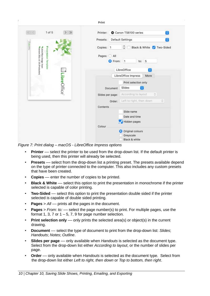| $\ll$                                                         | $1$ of $5$            |              | $>$ $\gg$ | Canon TS6100 series<br>Printer:<br>G                      |
|---------------------------------------------------------------|-----------------------|--------------|-----------|-----------------------------------------------------------|
|                                                               |                       |              |           | Default Settings<br>Presets:<br>Θ                         |
| <b>Clumcoffice</b>                                            |                       |              |           | $\hat{\cdot}$<br>Black & White V Two-Sided<br>Copies: 1   |
|                                                               | Presentation Template |              |           | Pages: All                                                |
|                                                               |                       |              |           | O From:<br>$\vert$ 1<br>to: 5                             |
| *LibreOffice Design Team<br>*Version 2011-10 -20 (Production) |                       |              |           | LibreOffice<br>$\circ$                                    |
|                                                               |                       |              |           | LibreOffice Impress<br>More                               |
|                                                               |                       | LibreOffice' |           | Print selection only                                      |
|                                                               |                       |              |           | Slides<br>Θ<br>Document                                   |
|                                                               |                       |              |           | According to layout<br>ੋ<br>Slides per page:              |
|                                                               |                       |              |           | Left to right, then down<br>$\hat{\mathcal{C}}$<br>Order: |
|                                                               |                       |              |           | Contents                                                  |
|                                                               |                       |              |           | Slide name                                                |
|                                                               |                       |              |           | Date and time                                             |
|                                                               |                       |              |           | Hidden pages                                              |
|                                                               |                       |              |           | Colour<br>Original colours<br>о                           |
|                                                               |                       |              |           | Greyscale                                                 |
|                                                               |                       |              |           | Black & white                                             |

*Figure 7: Print dialog – macOS - LibreOffice Impress options*

- <span id="page-9-0"></span>**Printer** –– select the printer to be used from the drop-down list. If the default printer is being used, then this printer will already be selected.
- **Presets** select from the drop-down list a printing preset. The presets available depend on the type of printer connected to the computer. This also includes any custom presets that have been created.
- **Copies** –– enter the number of copies to be printed.
- **Black & White** –– select this option to print the presentation in monochrome if the printer selected is capable of color printing.
- **Two-Sided** –– select this option to print the presentation double sided if the printer selected is capable of double sided printing.
- **Pages** > *All* –– prints all the pages in the document.
- **Pages** > *From: to:* –– select the page number(s) to print. For multiple pages, use the format 1, 3, 7 or  $1 - 5$ , 7, 9 for page number selection.
- **Print selection only** only prints the selected area(s) or object(s) in the current drawing.
- **Document** –– select the type of document to print from the drop-down list: *Slides*; *Handouts*; *Notes*; *Outline*.
- **Slides per page** –– only available when *Handouts* is selected as the document type. Select from the drop-down list either *According to layout*, or the number of slides per page.
- **Order** –– only available when *Handouts* is selected as the document type. Select from the drop-down list either *Left to right, then down* or *Top to bottom, then right*.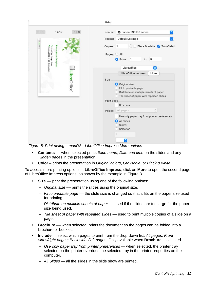

*Figure 8: Print dialog – macOS - LibreOffice Impress More options*

- <span id="page-10-0"></span>• **Contents** –– when selected prints *Slide name*, *Date and time* on the slides and any *Hidden pages* in the presentation.
- **Color** prints the presentation in *Original colors*, *Grayscale*, or *Black & white*.

To access more printing options in **LibreOffice Impress**, click on **More** to open the second page of LibreOffice Impress options, as shown by the example in Figure [8](#page-10-0).

- **Size** –– print the presentation using one of the following options:
	- *Original size* –– prints the slides using the original size.
	- *Fit to printable page* –– the slide size is changed so that it fits on the paper size used for printing.
	- *Distribute on multiple sheets of paper* –– used if the slides are too large for the paper size being used.
	- *Tile sheet of paper with repeated slides* –– used to print multiple copies of a slide on a page.
- **Brochure** –– when selected, prints the document so the pages can be folded into a brochure or booklet.
- **Include** select which pages to print from the drop-down list: *All pages; Front sides/right pages; Back sides/left pages*. Only available when **Brochure** is selected.
	- *Use only paper tray from printer preferences* when selected, the printer tray selected on the printer overrides the selected tray in the printer properties on the computer.
	- *All Slides* all the slides in the slide show are printed.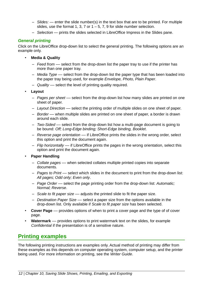- *Slides:* enter the slide number(s) in the text box that are to be printed. For multiple slides, use the format 1, 3, 7 or  $1 - 5$ , 7, 9 for slide number selection.
- *Selection* prints the slides selected in LibreOffice Impress in the Slides pane.

#### <span id="page-11-1"></span>*General printing*

Click on the LibreOffice drop-down list to select the general printing. The following options are an example only.

- **Media & Quality**
	- *Feed from* –– select from the drop-down list the paper tray to use if the printer has more than one paper tray.
	- *Media Type* –– select from the drop-down list the paper type that has been loaded into the paper tray being used, for example *Envelope, Photo, Plain Paper*.
	- *Quality* –– select the level of printing quality required.
- **Layout**
	- *Pages per sheet* –– select from the drop-down list how many slides are printed on one sheet of paper.
	- *Layout Direction* –– select the printing order of multiple slides on one sheet of paper.
	- *Border* –– when multiple slides are printed on one sheet of paper, a border is drawn around each slide.
	- *Two-Sided* –– select from the drop-down list how a multi-page document is going to be bound: *Off; Long-Edge binding; Short-Edge binding, Booklet*.
	- *Reverse page orientation* –– if LibreOffice prints the slides in the wrong order, select this option and print the document again.
	- *Flip horizontally* –– if LibreOffice prints the pages in the wrong orientation, select this option and print the document again.
- **Paper Handling**
	- *Collate pages* –– when selected collates multiple printed copies into separate documents.
	- *Pages to Print* –– select which slides in the document to print from the drop-down list: *All pages; Odd only; Even only*.
	- *Page Order* –– select the page printing order from the drop-down list: *Automatic; Normal; Reverse*.
	- *Scale to fit paper size* –– adjusts the printed slide to fit the paper size.
	- *Destination Paper Size* –– select a paper size from the options available in the drop-down list. Only available if *Scale to fit paper size* has been selected.
- **Cover Page** –– provides options of when to print a cover page and the type of of cover page.
- **Watermark** –– provides options to print watermark text on the slides, for example *Confidential* if the presentation is of a sensitive nature.

# <span id="page-11-0"></span>**Printing examples**

The following printing instructions are examples only. Actual method of printing may differ from these examples as this depends on computer operating system, computer setup, and the printer being used. For more information on printing, see the *Writer Guide*.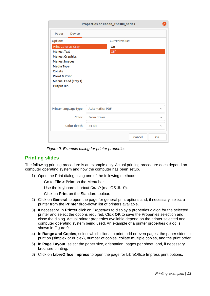|                                                                                                                                                                                        | Properties of Canon_TS6100_series |                |        |              |
|----------------------------------------------------------------------------------------------------------------------------------------------------------------------------------------|-----------------------------------|----------------|--------|--------------|
| Paper<br><b>Device</b>                                                                                                                                                                 |                                   |                |        |              |
| Option:                                                                                                                                                                                |                                   | Current value: |        |              |
| Print Color as Gray<br><b>Manual Text</b><br><b>Manual Graphics</b><br>Manual Images<br>Media Type<br>Collate<br><b>Proof &amp; Print</b><br>Manual Feed (Tray 1)<br><b>Output Bin</b> | On<br>Off                         |                |        |              |
|                                                                                                                                                                                        |                                   |                |        |              |
| Printer language type:                                                                                                                                                                 | Automatic: PDF<br>$\checkmark$    |                |        |              |
| Color:                                                                                                                                                                                 | From driver                       |                |        |              |
| Color depth:                                                                                                                                                                           | 24 Bit                            |                |        | $\checkmark$ |
|                                                                                                                                                                                        |                                   |                | Cancel | OK           |

<span id="page-12-1"></span>*Figure 9: Example dialog for printer properties*

## <span id="page-12-0"></span>**Printing slides**

The following printing procedure is an example only. Actual printing procedure does depend on computer operating system and how the computer has been setup.

- 1) Open the Print dialog using one of the following methods:
	- Go to **File > Print** on the Menu bar.
	- Use the keyboard shortcut *Ctrl+P* (macOS ⌘*+P*).
	- Click on **Print** on the Standard toolbar.
- 2) Click on **General** to open the page for general print options and, if necessary, select a printer from the **Printer** drop-down list of printers available.
- 3) If necessary, in **Printer** click on *Properties* to display a properties dialog for the selected printer and select the options required. Click **OK** to save the Properties selection and close the dialog. Actual printer properties available depend on the printer selected and computer operating system being used. An example of a printer properties dialog is shown in Figure [9.](#page-12-1)
- 4) In **Range and Copies**, select which slides to print, odd or even pages, the paper sides to print on (simplex or duplex), number of copies, collate multiple copies, and the print order.
- 5) In **Page Layout**, select the paper size, orientation, pages per sheet, and, if necessary, brochure printing.
- 6) Click on **LibreOffice Impress** to open the page for LibreOffice Impress print options.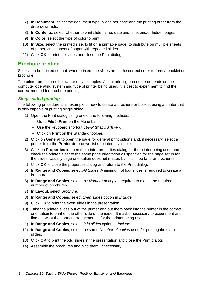- 7) In **Document**, select the document type, slides per page and the printing order from the drop-down lists.
- 8) In **Contents**, select whether to print slide name, date and time, and/or hidden pages.
- 9) In **Color**, select the type of color to print.
- 10) In **Size**, select the printed size, to fit on a printable page, to distribute on multiple sheets of paper, or tile sheet of paper with repeated slides.
- 11) Click **OK** to print the slides and close the Print dialog.

#### <span id="page-13-1"></span>**Brochure printing**

Slides can be printed so that, when printed, the slides are in the correct order to form a booklet or brochure.

The printer procedures below are only examples. Actual printing procedure depends on the computer operating system and type of printer being used. It is best to experiment to find the correct method for brochure printing.

#### <span id="page-13-0"></span>*Single sided printing*

The following procedure is an example of how to create a brochure or booklet using a printer that is only capable of printing single sided.

- 1) Open the Print dialog using one of the following methods:
	- Go to **File > Print** on the Menu bar.
	- Use the keyboard shortcut *Ctrl+P* (macOS ⌘*+P*).
	- Click on **Print** on the Standard toolbar.
- 2) Click on **General** to open the page for general print options and, if necessary, select a printer from the **Printer** drop-down list of printers available.
- 3) Click on **Properties** to open the printer properties dialog for the printer being used and check the printer is set to the same page orientation as specified for the page setup for the slides. Usually page orientation does not matter, but it is important for brochures.
- 4) Click **OK** to close the properties dialog and return to the Print dialog.
- 5) In **Range and Copies**, select *All Slides*. A minimum of four slides is required to create a brochure.
- 6) In **Range and Copies**, select the *Number of copies* required to match the required number of brochures.
- 7) In **Layout**, select *Brochure*.
- 8) In **Range and Copies**, select *Even slides* option in *Include*.
- 9) Click **OK** to print the even slides in the presentation.
- 10) Take the printed slides out of the printer and put them back into the printer in the correct orientation to print on the other side of the paper. It maybe necessary to experiment and find out what the correct arrangement is for the printer being used.
- 11) In **Range and Copies**, select *Odd slides* option in *Include*.
- 12) In **Range and Copies**, select the same *Number of copies* used for printing the even slides.
- 13) Click **OK** to print the odd slides in the presentation and close the Print dialog.
- 14) Assemble the brochures and bind them, if necessary.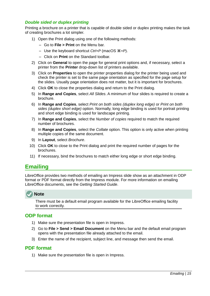#### <span id="page-14-3"></span>*Double sided or duplex printing*

Printing a brochure on a printer that is capable of double sided or duplex printing makes the task of creating brochures a lot simpler.

- 1) Open the Print dialog using one of the following methods:
	- Go to **File > Print** on the Menu bar.
	- Use the keyboard shortcut *Ctrl+P* (macOS ⌘*+P*).
	- Click on **Print** on the Standard toolbar.
- 2) Click on **General** to open the page for general print options and, if necessary, select a printer from the **Printer** drop-down list of printers available.
- 3) Click on **Properties** to open the printer properties dialog for the printer being used and check the printer is set to the same page orientation as specified for the page setup for the slides. Usually page orientation does not matter, but it is important for brochures.
- 4) Click **OK** to close the properties dialog and return to the Print dialog.
- 5) In **Range and Copies**, select *All Slides*. A minimum of four slides is required to create a brochure.
- 6) In **Range and Copies**, select *Print on both sides (duplex long edge)* or *Print on both sides (duplex short edge)* option. Normally, long edge binding is used for portrait printing and short edge binding is used for landscape printing.
- 7) In **Range and Copies**, select the *Number of copies* required to match the required number of brochures.
- 8) In **Range and Copies**, select the *Collate* option. This option is only active when printing multiple copies of the same document.
- 9) In **Layout**, select *Brochure*.
- 10) Click **OK** to close to the Print dialog and print the required number of pages for the brochures.
- 11) If necessary, bind the brochures to match either long edge or short edge binding.

# <span id="page-14-2"></span>**Emailing**

LibreOffice provides two methods of emailing an Impress slide show as an attachment in ODP format or PDF format directly from the Impress module. For more information on emailing LibreOffice documents, see the *Getting Started Guide*.



There must be a default email program available for the LibreOffice emailing facility to work correctly.

#### <span id="page-14-1"></span>**ODP format**

- 1) Make sure the presentation file is open in Impress.
- 2) Go to **File > Send > Email Document** on the Menu bar and the default email program opens with the presentation file already attached to the email.
- 3) Enter the name of the recipient, subject line, and message then send the email.

#### <span id="page-14-0"></span>**PDF format**

1) Make sure the presentation file is open in Impress.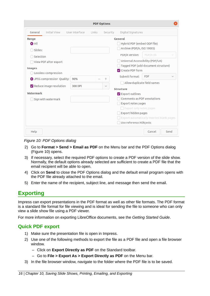| <b>PDF Options</b>                                                                                                                                                                                            |                |       |                        |                                                                                                                                                                                                                                                                                                             |                        |      |
|---------------------------------------------------------------------------------------------------------------------------------------------------------------------------------------------------------------|----------------|-------|------------------------|-------------------------------------------------------------------------------------------------------------------------------------------------------------------------------------------------------------------------------------------------------------------------------------------------------------|------------------------|------|
| <b>Initial View</b><br>General                                                                                                                                                                                | User Interface | Links | Security               | Digital Signatures                                                                                                                                                                                                                                                                                          |                        |      |
| Range<br><b>O</b> All<br>Slides:<br>Selection<br>View PDF after export<br><b>Images</b><br>Lossless compression<br>O JPEG compression Quality:<br>Reduce image resolution<br>Watermark<br>Sign with watermark | 90%<br>300 DPI |       | $^{+}$<br>$\checkmark$ | General<br>Hybrid PDF (embed ODF file)<br>Archive (PDF/A, ISO 19005)<br>PDF/A version:<br>Universal Accessibility (PDF/UA)<br>Tagged PDF (add document structure)<br>Create PDF form<br>Submit format:<br>Allow duplicate field names<br><b>Structure</b><br>Export outlines<br>Comments as PDF annotations | PDF/A-3b<br><b>FDF</b> |      |
| Help                                                                                                                                                                                                          |                |       |                        | Export notes pages<br>Export only notes pages<br>Export hidden pages<br>Export automatically inserted blank pages<br>Use reference XObjects                                                                                                                                                                 | Cancel                 | Send |

<span id="page-15-2"></span>*Figure 10: PDF Options dialog*

- 2) Go to **Format > Send > Email as PDF** on the Menu bar and the PDF Options dialog (Figure [10](#page-15-2)) opens.
- 3) If necessary, select the required PDF options to create a PDF version of the slide show. Normally, the default options already selected are sufficient to create a PDF file that the email recipient will be able to open.
- 4) Click on **Send** to close the PDF Options dialog and the default email program opens with the PDF file already attached to the email.
- 5) Enter the name of the recipient, subject line, and message then send the email.

# <span id="page-15-1"></span>**Exporting**

Impress can export presentations in the PDF format as well as other file formats. The PDF format is a standard file format for file viewing and is ideal for sending the file to someone who can only view a slide show file using a PDF viewer.

For more information on exporting LibreOffice documents, see the *Getting Started Guide*.

## <span id="page-15-0"></span>**Quick PDF export**

- 1) Make sure the presentation file is open in Impress.
- 2) Use one of the following methods to export the file as a PDF file and open a file browser window.
	- Click on **Export Directly as PDF** on the Standard toolbar.
	- Go to **File > Export As > Export Directly as PDF** on the Menu bar.
- 3) In the file browser window, navigate to the folder where the PDF file is to be saved.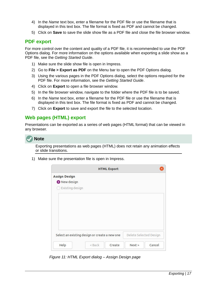- 4) In the *Name* text box, enter a filename for the PDF file or use the filename that is displayed in this text box. The file format is fixed as PDF and cannot be changed.
- 5) Click on **Save** to save the slide show file as a PDF file and close the file browser window.

#### <span id="page-16-1"></span>**PDF export**

For more control over the content and quality of a PDF file, it is recommended to use the PDF Options dialog. For more information on the options available when exporting a slide show as a PDF file, see the *Getting Started Guide*.

- 1) Make sure the slide show file is open in Impress.
- 2) Go to **File > Export as PDF** on the Menu bar to open the PDF Options dialog.
- 3) Using the various pages in the PDF Options dialog, select the options required for the PDF file. For more information, see the *Getting Started Guide*.
- 4) Click on **Export** to open a file browser window.
- 5) In the file browser window, navigate to the folder where the PDF file is to be saved.
- 6) In the *Name* text box, enter a filename for the PDF file or use the filename that is displayed in this text box. The file format is fixed as PDF and cannot be changed.
- 7) Click on **Export** to save and export the file to the selected location.

#### <span id="page-16-0"></span>**Web pages (HTML) export**

Presentations can be exported as a series of web pages (HTML format) that can be viewed in any browser.



Exporting presentations as web pages (HTML) does not retain any animation effects or slide transitions.

1) Make sure the presentation file is open in Impress.

|                      | <b>HTML Export</b>                            |                        |
|----------------------|-----------------------------------------------|------------------------|
| <b>Assign Design</b> |                                               |                        |
| New design           |                                               |                        |
| Existing design      |                                               |                        |
|                      |                                               |                        |
|                      |                                               |                        |
|                      |                                               |                        |
|                      |                                               |                        |
|                      |                                               |                        |
|                      |                                               |                        |
|                      |                                               |                        |
|                      |                                               |                        |
|                      | Select an existing design or create a new one | Delete Selected Design |

<span id="page-16-2"></span>*Figure 11: HTML Export dialog – Assign Design page*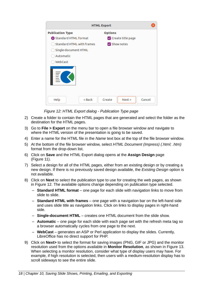| <b>HTML Export</b>               |                          |  |  |  |
|----------------------------------|--------------------------|--|--|--|
| <b>Publication Type</b>          | <b>Options</b>           |  |  |  |
| Standard HTML format             | Create title page        |  |  |  |
| <b>Standard HTML with frames</b> | Show notes               |  |  |  |
| Single-document HTML             |                          |  |  |  |
| Automatic                        |                          |  |  |  |
| WebCast                          |                          |  |  |  |
|                                  |                          |  |  |  |
| < Back<br>Help                   | Cancel<br>Next<br>Create |  |  |  |

<span id="page-17-0"></span>*Figure 12: HTML Export dialog - Publication Type page*

- 2) Create a folder to contain the HTML pages that are generated and select the folder as the destination for the HTML pages.
- 3) Go to **File > Export** on the menu bar to open a file browser window and navigate to where the HTML version of the presentation is going to be saved.
- 4) Enter a name for the HTML file in the *Name* text box at the top of the file browser window.
- 5) At the bottom of the file browser window, select *HTML Document (Impress) (.html; .htm)* format from the drop-down list.
- 6) Click on **Save** and the HTML Export dialog opens at the **Assign Design** page (Figure [11](#page-16-2)).
- 7) Select a design for all of the HTML pages, either from an existing design or by creating a new design. If there is no previously saved design available, the *Existing Design* option is not available.
- 8) Click on **Next** to select the publication type to use for creating the web pages, as shown in Figure [12](#page-17-0). The available options change depending on publication type selected.
	- **Standard HTML format** one page for each slide with navigation links to move from slide to slide.
	- **Standard HTML with frames** one page with a navigation bar on the left-hand side and uses slide title as navigation links. Click on links to display pages in right-hand side.
	- **Single-document HTML** creates one HTML document from the slide show.
	- **Automatic** one page for each slide with each page set with the refresh meta tag so a browser automatically cycles from one page to the next.
	- **WebCast** generates an ASP or Perl application to display the slides. Currently, LibreOffice has no direct support for PHP.
- 9) Click on **Next>** to select the format for saving images (PNG, GIF or JPG) and the monitor resolution used from the options available in **Monitor Resolution**, as shown in Figure [13.](#page-18-0) When selecting a monitor resolution, consider what type of display users may have. For example, if high resolution is selected, then users with a medium-resolution display has to scroll sideways to see the entire slide.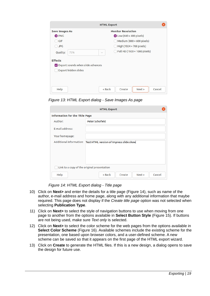<span id="page-18-0"></span>*Figure 13: HTML Export dialog - Save Images As page*

| <b>HTML Export</b>                          |                                         |  |  |  |
|---------------------------------------------|-----------------------------------------|--|--|--|
| <b>Information for the Title Page</b>       |                                         |  |  |  |
| Author:                                     | Peter Schofield                         |  |  |  |
| E-mail address:                             |                                         |  |  |  |
| Your homepage:                              |                                         |  |  |  |
| Additional information:                     | Test HTML version of Impress slide show |  |  |  |
|                                             |                                         |  |  |  |
|                                             |                                         |  |  |  |
|                                             |                                         |  |  |  |
| Link to a copy of the original presentation |                                         |  |  |  |
| Help                                        | Cancel<br>< Back<br>Create<br>Next      |  |  |  |

<span id="page-18-1"></span>*Figure 14: HTML Export dialog - Title page*

- 10) Click on **Next>** and enter the details for a title page (Figure [14](#page-18-1)), such as name of the author, e-mail address and home page, along with any additional information that maybe required. This page does not display if the *Create title page* option was not selected when selecting **Publication Type**.
- 11) Click on **Next>** to select the style of navigation buttons to use when moving from one page to another from the options available in **Select Button Style** (Figure [15](#page-19-2)). If buttons are not being used, make sure *Text only* is selected.
- 12) Click on **Next>** to select the color scheme for the web pages from the options available in **Select Color Scheme** (Figure [16](#page-19-1)). Available schemes include the existing scheme for the presentation, one based upon browser colors, and a user-defined scheme. A new scheme can be saved so that it appears on the first page of the HTML export wizard.
- 13) Click on **Create** to generate the HTML files. If this is a new design, a dialog opens to save the design for future use.